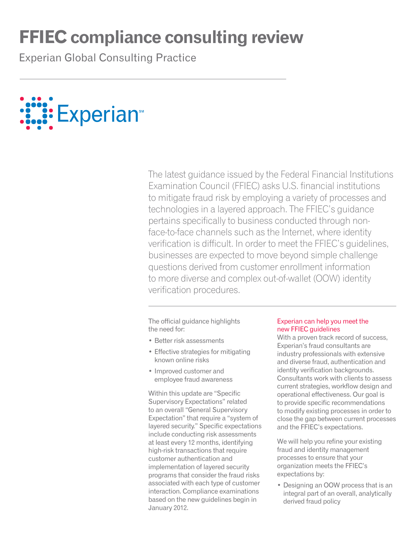# **FFIEC compliance consulting review**

Experian Global Consulting Practice



The latest guidance issued by the Federal Financial Institutions Examination Council (FFIEC) asks U.S. financial institutions to mitigate fraud risk by employing a variety of processes and technologies in a layered approach. The FFIEC's guidance pertains specifically to business conducted through nonface-to-face channels such as the Internet, where identity verification is difficult. In order to meet the FFIEC's guidelines, businesses are expected to move beyond simple challenge questions derived from customer enrollment information to more diverse and complex out-of-wallet (OOW) identity verification procedures.

The official guidance highlights the need for:

- • Better risk assessments
- Effective strategies for mitigating known online risks
- Improved customer and employee fraud awareness

Within this update are "Specific Supervisory Expectations" related to an overall "General Supervisory Expectation" that require a "system of layered security." Specific expectations include conducting risk assessments at least every 12 months, identifying high-risk transactions that require customer authentication and implementation of layered security programs that consider the fraud risks associated with each type of customer interaction. Compliance examinations based on the new guidelines begin in January 2012.

### Experian can help you meet the new FFIEC guidelines

With a proven track record of success, Experian's fraud consultants are industry professionals with extensive and diverse fraud, authentication and identity verification backgrounds. Consultants work with clients to assess current strategies, workflow design and operational effectiveness. Our goal is to provide specific recommendations to modify existing processes in order to close the gap between current processes and the FFIEC's expectations.

We will help you refine your existing fraud and identity management processes to ensure that your organization meets the FFIEC's expectations by:

• Designing an OOW process that is an integral part of an overall, analytically derived fraud policy